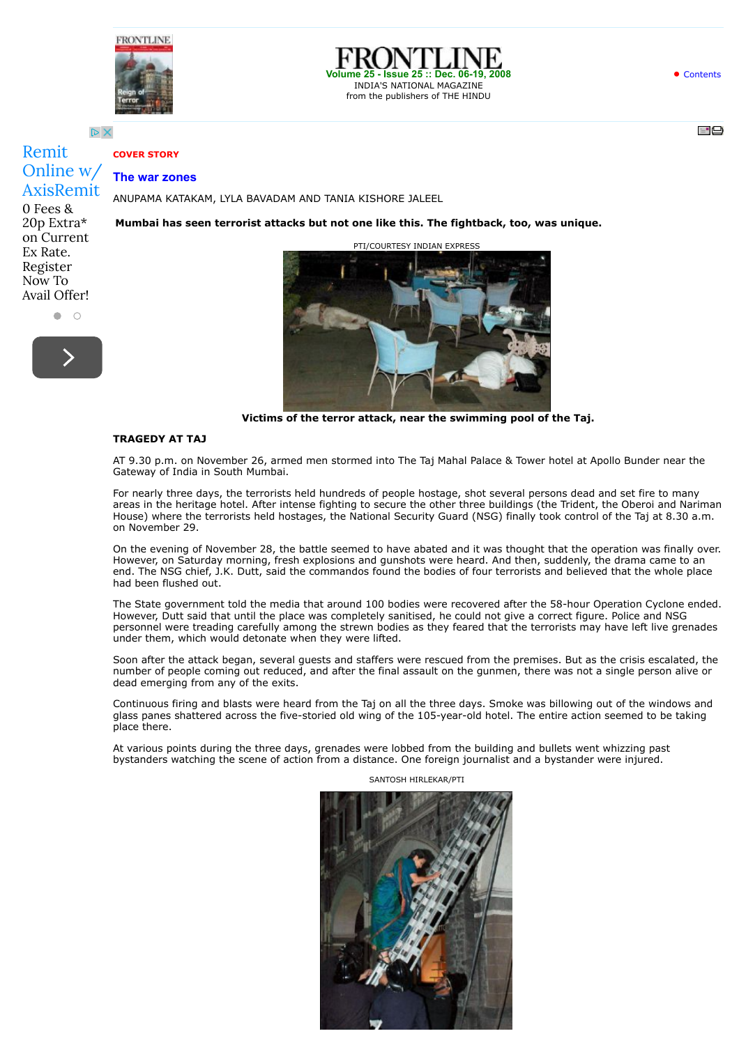





-99

 $D \times$ 

## **COVER STORY**

## Remit [Online w/](http://www.googleadservices.com/pagead/aclk?sa=L&ai=CyieoeYLDVcfGO4fHyAPtr62QCLvVjcIHu7a9iI0CwI23ARABIODJnANglbqugrQHoAHVzZjGA8gBAakClF3HP3XWUD6oAwHIA8MEqgSfAU_Q4VEXsOTxJE-olfWrWXj4-eGHIxiaah4kBSAFT3hFTYcNTBAovbOnGURcXBWIdn_aN5fvMXy_yFBIrG09D30nG0iGbZu0K3G8umACNSDY7Lm_1XE-R03xY0aMoUQMgOJt_z2Qh4FwP2D0xDfXAMUyzik47gOBARpAGEQA7rdp2CrVUqaQ47dWALee3PHSAaAJ4ghqscZfv80ZUcjwhogGAYAHk7LnOagHpr4b2AcB&num=1&cid=5GibKdEBYLH5NghvE6757LMs&sig=AOD64_047A7nyNmvM25Sjj6MNG-uck-eBA&client=ca-pub-6238405171313215&adurl=https://www.axisbank.com/webforms/Axis_Remit_ver01/indexUK.aspx%3Futm_source%3Dgoogle%26utm_medium%3Dcpc%26utm_campaign%3DGermany-Core-KCT%26utm_adgroup%3DMoney-Transfer-To-India%26utm_term%3Dmoney%2520transfer%2520to%2520india%26placement%3Dwww.frontline.in%26adtype%3D20paise%2Btext) AxisRemit

 $\bullet$   $\circ$ 

0 Fees & 20p Extra\* on Current Ex Rate. Register Now To Avail Offer!

### **The war zones**

ANUPAMA KATAKAM, LYLA BAVADAM AND TANIA KISHORE JALEEL

**Mumbai has seen terrorist attacks but not one like this. The fightback, too, was unique.**

PTI/COURTESY INDIAN EXPRES



**Victims of the terror attack, near the swimming pool of the Taj.**

### **TRAGEDY AT TAJ**

AT 9.30 p.m. on November 26, armed men stormed into The Taj Mahal Palace & Tower hotel at Apollo Bunder near the Gateway of India in South Mumbai.

For nearly three days, the terrorists held hundreds of people hostage, shot several persons dead and set fire to many areas in the heritage hotel. After intense fighting to secure the other three buildings (the Trident, the Oberoi and Nariman House) where the terrorists held hostages, the National Security Guard (NSG) finally took control of the Taj at 8.30 a.m. on November 29.

On the evening of November 28, the battle seemed to have abated and it was thought that the operation was finally over. However, on Saturday morning, fresh explosions and gunshots were heard. And then, suddenly, the drama came to an end. The NSG chief, J.K. Dutt, said the commandos found the bodies of four terrorists and believed that the whole place had been flushed out.

The State government told the media that around 100 bodies were recovered after the 58-hour Operation Cyclone ended. However, Dutt said that until the place was completely sanitised, he could not give a correct figure. Police and NSG personnel were treading carefully among the strewn bodies as they feared that the terrorists may have left live grenades under them, which would detonate when they were lifted.

Soon after the attack began, several guests and staffers were rescued from the premises. But as the crisis escalated, the number of people coming out reduced, and after the final assault on the gunmen, there was not a single person alive or dead emerging from any of the exits.

Continuous firing and blasts were heard from the Taj on all the three days. Smoke was billowing out of the windows and glass panes shattered across the five-storied old wing of the 105-year-old hotel. The entire action seemed to be taking place there.

At various points during the three days, grenades were lobbed from the building and bullets went whizzing past bystanders watching the scene of action from a distance. One foreign journalist and a bystander were injured.

SANTOSH HIRLEKAR/PTI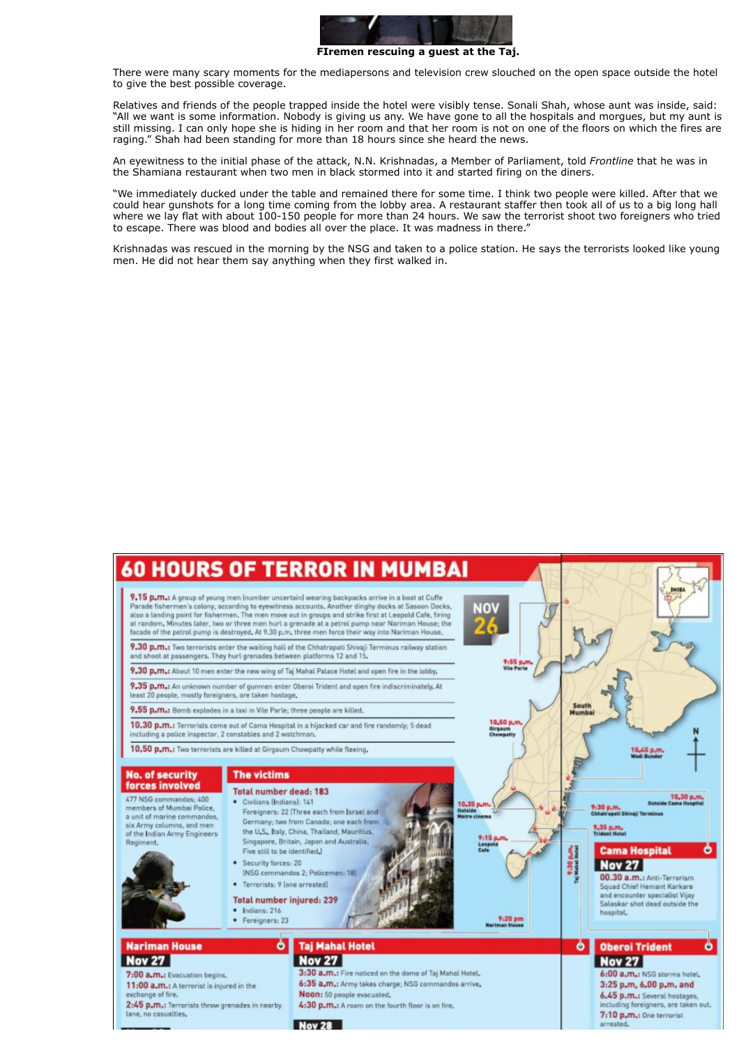

**FIremen rescuing a guest at the Taj.**

There were many scary moments for the mediapersons and television crew slouched on the open space outside the hotel to give the best possible coverage.

Relatives and friends of the people trapped inside the hotel were visibly tense. Sonali Shah, whose aunt was inside, said: "All we want is some information. Nobody is giving us any. We have gone to all the hospitals and morgues, but my aunt is still missing. I can only hope she is hiding in her room and that her room is not on one of the floors on which the fires are raging." Shah had been standing for more than 18 hours since she heard the news.

An eyewitness to the initial phase of the attack, N.N. Krishnadas, a Member of Parliament, told *Frontline* that he was in the Shamiana restaurant when two men in black stormed into it and started firing on the diners.

"We immediately ducked under the table and remained there for some time. I think two people were killed. After that we could hear gunshots for a long time coming from the lobby area. A restaurant staffer then took all of us to a big long hall where we lay flat with about 100-150 people for more than 24 hours. We saw the terrorist shoot two foreigners who tried to escape. There was blood and bodies all over the place. It was madness in there."

Krishnadas was rescued in the morning by the NSG and taken to a police station. He says the terrorists looked like young men. He did not hear them say anything when they first walked in.

# **60 HOURS OF TERROR IN MUMBAI**

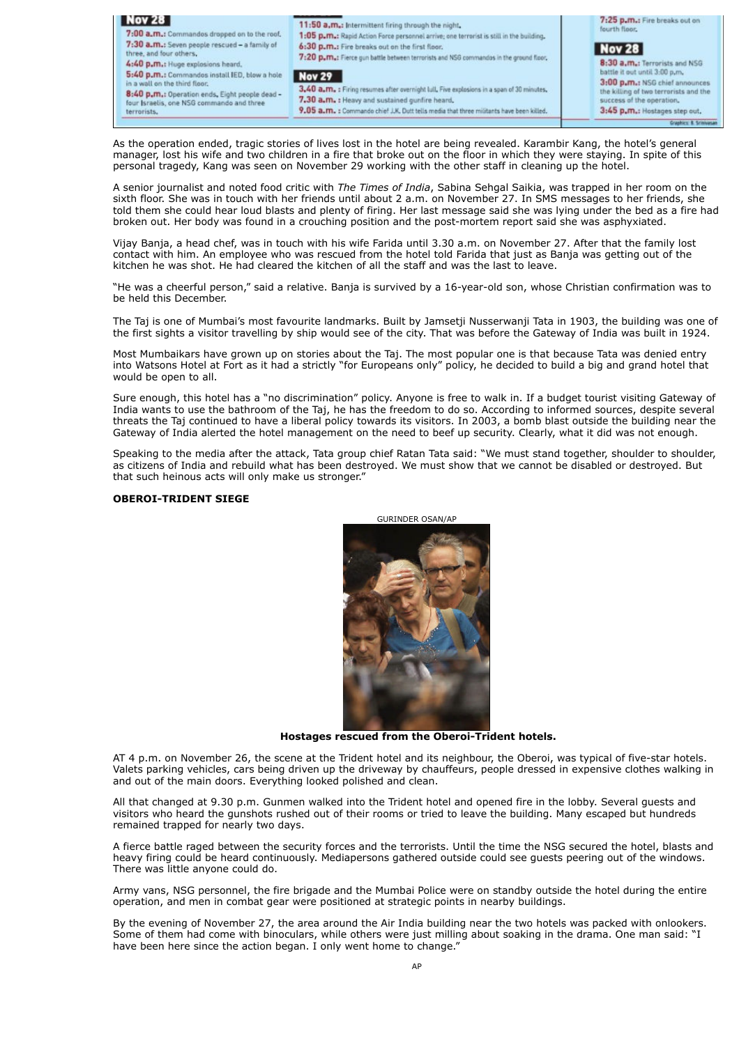

As the operation ended, tragic stories of lives lost in the hotel are being revealed. Karambir Kang, the hotel's general manager, lost his wife and two children in a fire that broke out on the floor in which they were staying. In spite of this personal tragedy, Kang was seen on November 29 working with the other staff in cleaning up the hotel.

A senior journalist and noted food critic with *The Times of India*, Sabina Sehgal Saikia, was trapped in her room on the sixth floor. She was in touch with her friends until about 2 a.m. on November 27. In SMS messages to her friends, she told them she could hear loud blasts and plenty of firing. Her last message said she was lying under the bed as a fire had broken out. Her body was found in a crouching position and the post-mortem report said she was asphyxiated.

Vijay Banja, a head chef, was in touch with his wife Farida until 3.30 a.m. on November 27. After that the family lost contact with him. An employee who was rescued from the hotel told Farida that just as Banja was getting out of the kitchen he was shot. He had cleared the kitchen of all the staff and was the last to leave.

"He was a cheerful person," said a relative. Banja is survived by a 16-year-old son, whose Christian confirmation was to be held this December.

The Taj is one of Mumbai's most favourite landmarks. Built by Jamsetji Nusserwanji Tata in 1903, the building was one of the first sights a visitor travelling by ship would see of the city. That was before the Gateway of India was built in 1924.

Most Mumbaikars have grown up on stories about the Taj. The most popular one is that because Tata was denied entry into Watsons Hotel at Fort as it had a strictly "for Europeans only" policy, he decided to build a big and grand hotel that would be open to all.

Sure enough, this hotel has a "no discrimination" policy. Anyone is free to walk in. If a budget tourist visiting Gateway of India wants to use the bathroom of the Taj, he has the freedom to do so. According to informed sources, despite several threats the Taj continued to have a liberal policy towards its visitors. In 2003, a bomb blast outside the building near the Gateway of India alerted the hotel management on the need to beef up security. Clearly, what it did was not enough.

Speaking to the media after the attack, Tata group chief Ratan Tata said: "We must stand together, shoulder to shoulder, as citizens of India and rebuild what has been destroyed. We must show that we cannot be disabled or destroyed. But that such heinous acts will only make us stronger."

### **OBEROI-TRIDENT SIEGE**



**Hostages rescued from the Oberoi-Trident hotels.**

AT 4 p.m. on November 26, the scene at the Trident hotel and its neighbour, the Oberoi, was typical of five-star hotels. Valets parking vehicles, cars being driven up the driveway by chauffeurs, people dressed in expensive clothes walking in and out of the main doors. Everything looked polished and clean.

All that changed at 9.30 p.m. Gunmen walked into the Trident hotel and opened fire in the lobby. Several guests and visitors who heard the gunshots rushed out of their rooms or tried to leave the building. Many escaped but hundreds remained trapped for nearly two days.

A fierce battle raged between the security forces and the terrorists. Until the time the NSG secured the hotel, blasts and heavy firing could be heard continuously. Mediapersons gathered outside could see guests peering out of the windows. There was little anyone could do.

Army vans, NSG personnel, the fire brigade and the Mumbai Police were on standby outside the hotel during the entire operation, and men in combat gear were positioned at strategic points in nearby buildings.

By the evening of November 27, the area around the Air India building near the two hotels was packed with onlookers. Some of them had come with binoculars, while others were just milling about soaking in the drama. One man said: "I have been here since the action began. I only went home to change."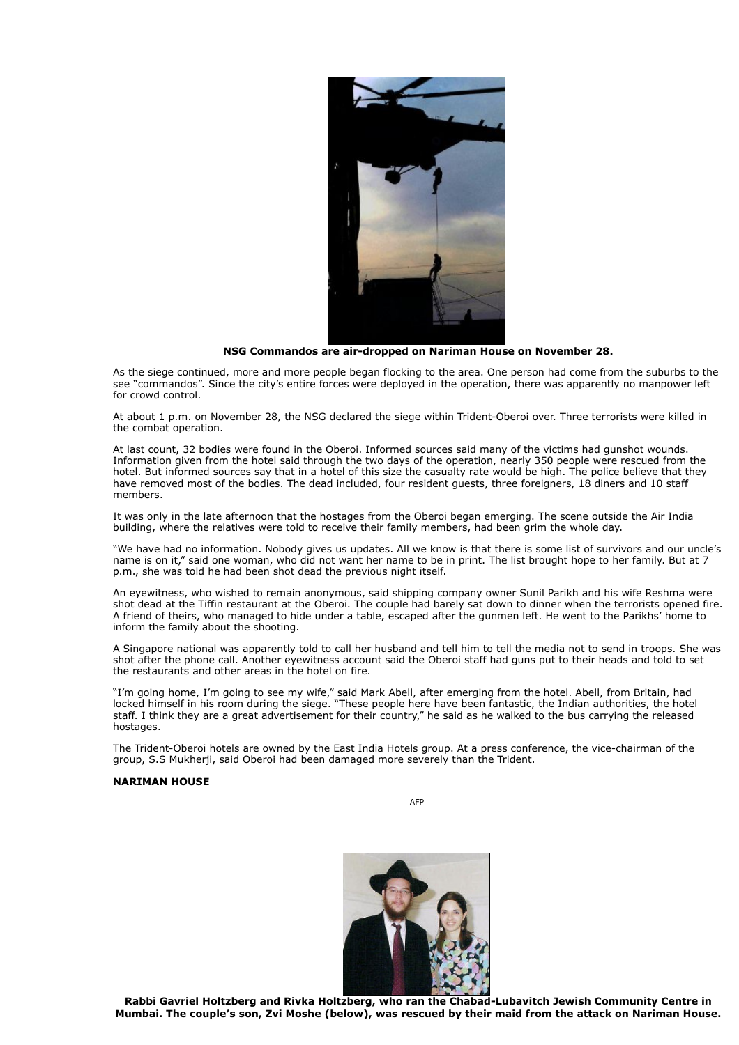

**NSG Commandos are air-dropped on Nariman House on November 28.**

As the siege continued, more and more people began flocking to the area. One person had come from the suburbs to the see "commandos". Since the city's entire forces were deployed in the operation, there was apparently no manpower left for crowd control.

At about 1 p.m. on November 28, the NSG declared the siege within Trident-Oberoi over. Three terrorists were killed in the combat operation.

At last count, 32 bodies were found in the Oberoi. Informed sources said many of the victims had gunshot wounds. Information given from the hotel said through the two days of the operation, nearly 350 people were rescued from the hotel. But informed sources say that in a hotel of this size the casualty rate would be high. The police believe that they have removed most of the bodies. The dead included, four resident guests, three foreigners, 18 diners and 10 staff members.

It was only in the late afternoon that the hostages from the Oberoi began emerging. The scene outside the Air India building, where the relatives were told to receive their family members, had been grim the whole day.

"We have had no information. Nobody gives us updates. All we know is that there is some list of survivors and our uncle's name is on it," said one woman, who did not want her name to be in print. The list brought hope to her family. But at 7 p.m., she was told he had been shot dead the previous night itself.

An eyewitness, who wished to remain anonymous, said shipping company owner Sunil Parikh and his wife Reshma were shot dead at the Tiffin restaurant at the Oberoi. The couple had barely sat down to dinner when the terrorists opened fire. A friend of theirs, who managed to hide under a table, escaped after the gunmen left. He went to the Parikhs' home to inform the family about the shooting.

A Singapore national was apparently told to call her husband and tell him to tell the media not to send in troops. She was shot after the phone call. Another eyewitness account said the Oberoi staff had guns put to their heads and told to set the restaurants and other areas in the hotel on fire.

"I'm going home, I'm going to see my wife," said Mark Abell, after emerging from the hotel. Abell, from Britain, had locked himself in his room during the siege. "These people here have been fantastic, the Indian authorities, the hotel staff. I think they are a great advertisement for their country," he said as he walked to the bus carrying the released hostages.

The Trident-Oberoi hotels are owned by the East India Hotels group. At a press conference, the vice-chairman of the group, S.S Mukherji, said Oberoi had been damaged more severely than the Trident.

### **NARIMAN HOUSE**

AFP



**Rabbi Gavriel Holtzberg and Rivka Holtzberg, who ran the Chabad-Lubavitch Jewish Community Centre in Mumbai. The couple's son, Zvi Moshe (below), was rescued by their maid from the attack on Nariman House.**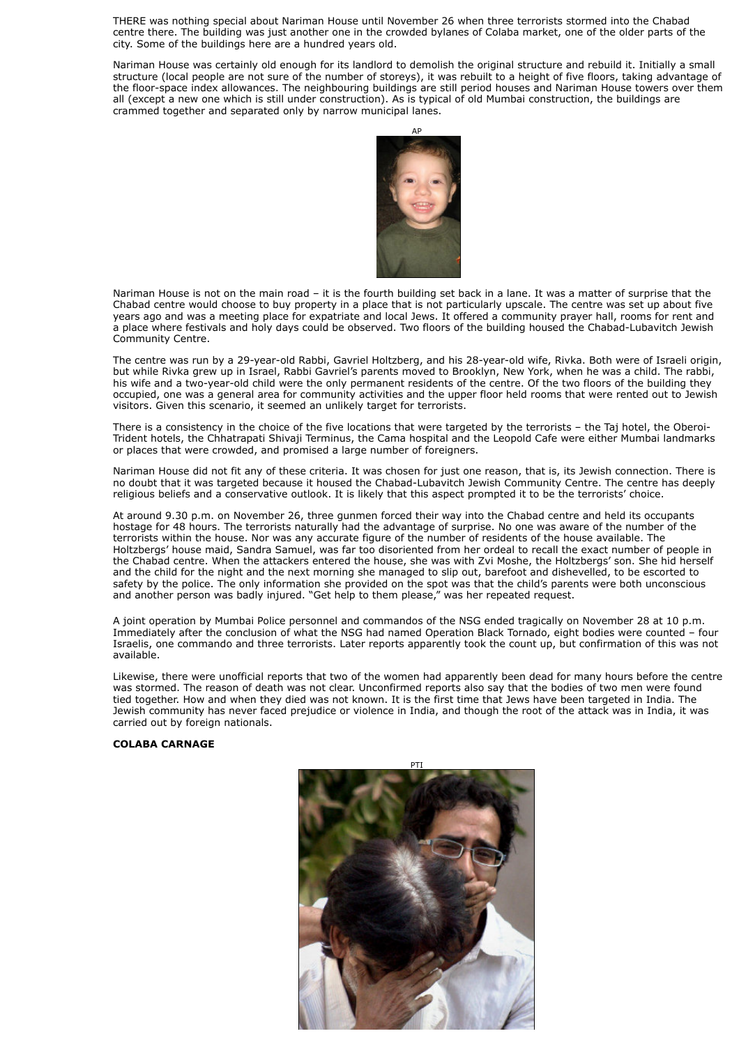THERE was nothing special about Nariman House until November 26 when three terrorists stormed into the Chabad centre there. The building was just another one in the crowded bylanes of Colaba market, one of the older parts of the city. Some of the buildings here are a hundred years old.

Nariman House was certainly old enough for its landlord to demolish the original structure and rebuild it. Initially a small structure (local people are not sure of the number of storeys), it was rebuilt to a height of five floors, taking advantage of the floor-space index allowances. The neighbouring buildings are still period houses and Nariman House towers over them all (except a new one which is still under construction). As is typical of old Mumbai construction, the buildings are crammed together and separated only by narrow municipal lanes.



Nariman House is not on the main road – it is the fourth building set back in a lane. It was a matter of surprise that the Chabad centre would choose to buy property in a place that is not particularly upscale. The centre was set up about five years ago and was a meeting place for expatriate and local Jews. It offered a community prayer hall, rooms for rent and a place where festivals and holy days could be observed. Two floors of the building housed the Chabad-Lubavitch Jewish Community Centre.

The centre was run by a 29-year-old Rabbi, Gavriel Holtzberg, and his 28-year-old wife, Rivka. Both were of Israeli origin, but while Rivka grew up in Israel, Rabbi Gavriel's parents moved to Brooklyn, New York, when he was a child. The rabbi, his wife and a two-year-old child were the only permanent residents of the centre. Of the two floors of the building they occupied, one was a general area for community activities and the upper floor held rooms that were rented out to Jewish visitors. Given this scenario, it seemed an unlikely target for terrorists.

There is a consistency in the choice of the five locations that were targeted by the terrorists – the Taj hotel, the Oberoi-Trident hotels, the Chhatrapati Shivaji Terminus, the Cama hospital and the Leopold Cafe were either Mumbai landmarks or places that were crowded, and promised a large number of foreigners.

Nariman House did not fit any of these criteria. It was chosen for just one reason, that is, its Jewish connection. There is no doubt that it was targeted because it housed the Chabad-Lubavitch Jewish Community Centre. The centre has deeply religious beliefs and a conservative outlook. It is likely that this aspect prompted it to be the terrorists' choice.

At around 9.30 p.m. on November 26, three gunmen forced their way into the Chabad centre and held its occupants hostage for 48 hours. The terrorists naturally had the advantage of surprise. No one was aware of the number of the terrorists within the house. Nor was any accurate figure of the number of residents of the house available. The Holtzbergs' house maid, Sandra Samuel, was far too disoriented from her ordeal to recall the exact number of people in the Chabad centre. When the attackers entered the house, she was with Zvi Moshe, the Holtzbergs' son. She hid herself and the child for the night and the next morning she managed to slip out, barefoot and dishevelled, to be escorted to safety by the police. The only information she provided on the spot was that the child's parents were both unconscious and another person was badly injured. "Get help to them please," was her repeated request.

A joint operation by Mumbai Police personnel and commandos of the NSG ended tragically on November 28 at 10 p.m. Immediately after the conclusion of what the NSG had named Operation Black Tornado, eight bodies were counted – four Israelis, one commando and three terrorists. Later reports apparently took the count up, but confirmation of this was not available.

Likewise, there were unofficial reports that two of the women had apparently been dead for many hours before the centre was stormed. The reason of death was not clear. Unconfirmed reports also say that the bodies of two men were found tied together. How and when they died was not known. It is the first time that Jews have been targeted in India. The Jewish community has never faced prejudice or violence in India, and though the root of the attack was in India, it was carried out by foreign nationals.

### **COLABA CARNAGE**